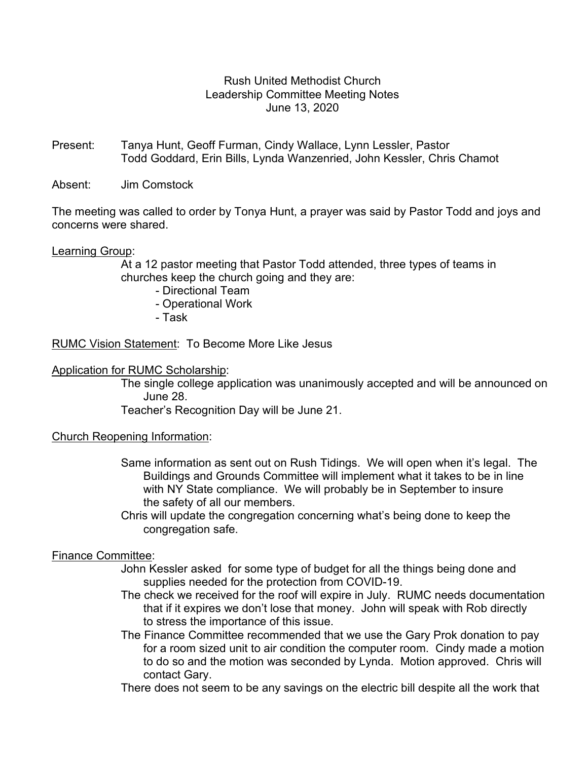# Rush United Methodist Church Leadership Committee Meeting Notes June 13, 2020

- Present: Tanya Hunt, Geoff Furman, Cindy Wallace, Lynn Lessler, Pastor Todd Goddard, Erin Bills, Lynda Wanzenried, John Kessler, Chris Chamot
- Absent: Jim Comstock

The meeting was called to order by Tonya Hunt, a prayer was said by Pastor Todd and joys and concerns were shared.

#### Learning Group:

 At a 12 pastor meeting that Pastor Todd attended, three types of teams in churches keep the church going and they are:

- Directional Team
- Operational Work
- Task

RUMC Vision Statement: To Become More Like Jesus

#### Application for RUMC Scholarship:

 The single college application was unanimously accepted and will be announced on June 28.

Teacher's Recognition Day will be June 21.

#### Church Reopening Information:

- Same information as sent out on Rush Tidings. We will open when it's legal. The Buildings and Grounds Committee will implement what it takes to be in line with NY State compliance. We will probably be in September to insure the safety of all our members.
- Chris will update the congregation concerning what's being done to keep the congregation safe.

## Finance Committee:

- John Kessler asked for some type of budget for all the things being done and supplies needed for the protection from COVID-19.
- The check we received for the roof will expire in July. RUMC needs documentation that if it expires we don't lose that money. John will speak with Rob directly to stress the importance of this issue.
- The Finance Committee recommended that we use the Gary Prok donation to pay for a room sized unit to air condition the computer room. Cindy made a motion to do so and the motion was seconded by Lynda. Motion approved. Chris will contact Gary.

There does not seem to be any savings on the electric bill despite all the work that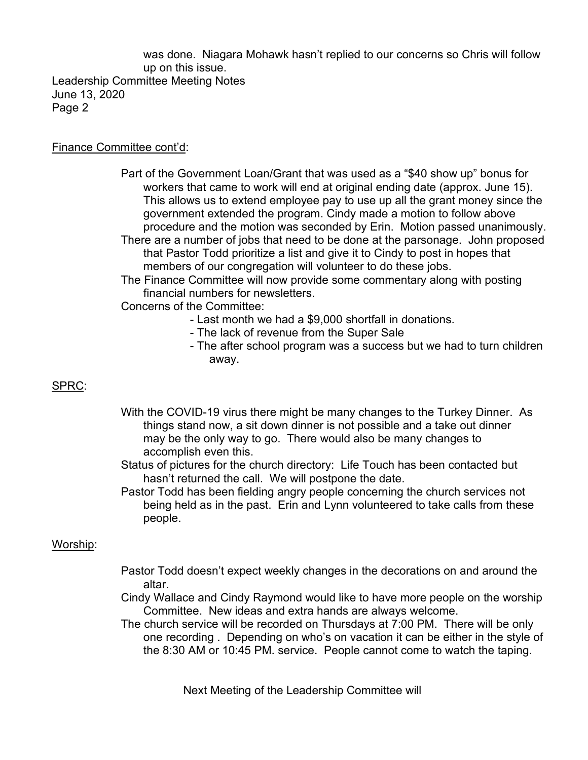was done. Niagara Mohawk hasn't replied to our concerns so Chris will follow up on this issue. Leadership Committee Meeting Notes June 13, 2020 Page 2

## Finance Committee cont'd:

- Part of the Government Loan/Grant that was used as a "\$40 show up" bonus for workers that came to work will end at original ending date (approx. June 15). This allows us to extend employee pay to use up all the grant money since the government extended the program. Cindy made a motion to follow above procedure and the motion was seconded by Erin. Motion passed unanimously.
- There are a number of jobs that need to be done at the parsonage. John proposed that Pastor Todd prioritize a list and give it to Cindy to post in hopes that members of our congregation will volunteer to do these jobs.
- The Finance Committee will now provide some commentary along with posting financial numbers for newsletters.
- Concerns of the Committee:
	- Last month we had a \$9,000 shortfall in donations.
	- The lack of revenue from the Super Sale
- The after school program was a success but we had to turn children away.

# SPRC:

- With the COVID-19 virus there might be many changes to the Turkey Dinner. As things stand now, a sit down dinner is not possible and a take out dinner may be the only way to go. There would also be many changes to accomplish even this.
- Status of pictures for the church directory: Life Touch has been contacted but hasn't returned the call. We will postpone the date.
- Pastor Todd has been fielding angry people concerning the church services not being held as in the past. Erin and Lynn volunteered to take calls from these people.

## Worship:

- Pastor Todd doesn't expect weekly changes in the decorations on and around the altar. In the set of the set of the set of the set of the set of the set of the set of the set of the set of t
	- Cindy Wallace and Cindy Raymond would like to have more people on the worship Committee. New ideas and extra hands are always welcome.
	- The church service will be recorded on Thursdays at 7:00 PM. There will be only one recording . Depending on who's on vacation it can be either in the style of the 8:30 AM or 10:45 PM. service. People cannot come to watch the taping.

Next Meeting of the Leadership Committee will